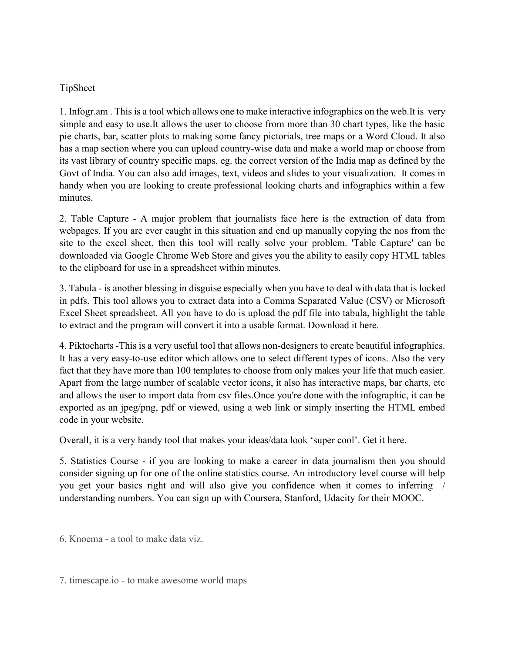## TipSheet

1. Infogr.am . This is a tool which allows one to make interactive infographics on the web.It is very simple and easy to use.It allows the user to choose from more than 30 chart types, like the basic pie charts, bar, scatter plots to making some fancy pictorials, tree maps or a Word Cloud. It also has a map section where you can upload country-wise data and make a world map or choose from its vast library of country specific maps. eg. the correct version of the India map as defined by the Govt of India. You can also add images, text, videos and slides to your visualization. It comes in handy when you are looking to create professional looking charts and infographics within a few minutes.

2. Table Capture - A major problem that journalists face here is the extraction of data from webpages. If you are ever caught in this situation and end up manually copying the nos from the site to the excel sheet, then this tool will really solve your problem. 'Table Capture' can be downloaded via Google Chrome Web Store and gives you the ability to easily copy HTML tables to the clipboard for use in a spreadsheet within minutes.

3. Tabula - is another blessing in disguise especially when you have to deal with data that is locked in pdfs. This tool allows you to extract data into a Comma Separated Value (CSV) or Microsoft Excel Sheet spreadsheet. All you have to do is upload the pdf file into tabula, highlight the table to extract and the program will convert it into a usable format. Download it here.

4. Piktocharts -This is a very useful tool that allows non-designers to create beautiful infographics. It has a very easy-to-use editor which allows one to select different types of icons. Also the very fact that they have more than 100 templates to choose from only makes your life that much easier. Apart from the large number of scalable vector icons, it also has interactive maps, bar charts, etc and allows the user to import data from csv files.Once you're done with the infographic, it can be exported as an jpeg/png, pdf or viewed, using a web link or simply inserting the HTML embed code in your website.

Overall, it is a very handy tool that makes your ideas/data look 'super cool'. Get it here.

5. Statistics Course - if you are looking to make a career in data journalism then you should consider signing up for one of the online statistics course. An introductory level course will help you get your basics right and will also give you confidence when it comes to inferring / understanding numbers. You can sign up with Coursera, Stanford, Udacity for their MOOC.

6. Knoema - a tool to make data viz.

7. timescape.io - to make awesome world maps